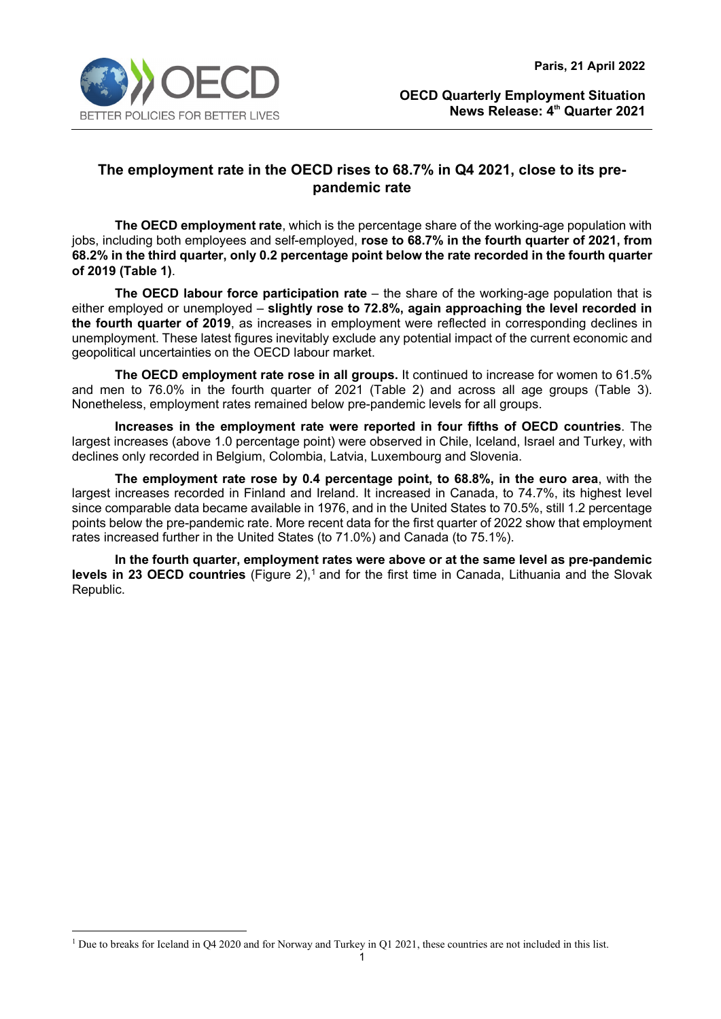

# **The employment rate in the OECD rises to 68.7% in Q4 2021, close to its prepandemic rate**

**The OECD employment rate**, which is the percentage share of the working-age population with jobs, including both employees and self-employed, **rose to 68.7% in the fourth quarter of 2021, from 68.2% in the third quarter, only 0.2 percentage point below the rate recorded in the fourth quarter of 2019 (Table 1)**.

**The OECD labour force participation rate** – the share of the working-age population that is either employed or unemployed – **slightly rose to 72.8%, again approaching the level recorded in the fourth quarter of 2019**, as increases in employment were reflected in corresponding declines in unemployment. These latest figures inevitably exclude any potential impact of the current economic and geopolitical uncertainties on the OECD labour market.

**The OECD employment rate rose in all groups.** It continued to increase for women to 61.5% and men to 76.0% in the fourth quarter of 2021 (Table 2) and across all age groups (Table 3). Nonetheless, employment rates remained below pre-pandemic levels for all groups.

**Increases in the employment rate were reported in four fifths of OECD countries**. The largest increases (above 1.0 percentage point) were observed in Chile, Iceland, Israel and Turkey, with declines only recorded in Belgium, Colombia, Latvia, Luxembourg and Slovenia.

**The employment rate rose by 0.4 percentage point, to 68.8%, in the euro area**, with the largest increases recorded in Finland and Ireland. It increased in Canada, to 74.7%, its highest level since comparable data became available in 1976, and in the United States to 70.5%, still 1.2 percentage points below the pre-pandemic rate. More recent data for the first quarter of 2022 show that employment rates increased further in the United States (to 71.0%) and Canada (to 75.1%).

**In the fourth quarter, employment rates were above or at the same level as pre-pandemic levels in 23 OECD countries** (Figure 2), [1](#page-0-0) and for the first time in Canada, Lithuania and the Slovak Republic.

<span id="page-0-0"></span><sup>&</sup>lt;sup>1</sup> Due to breaks for Iceland in Q4 2020 and for Norway and Turkey in Q1 2021, these countries are not included in this list.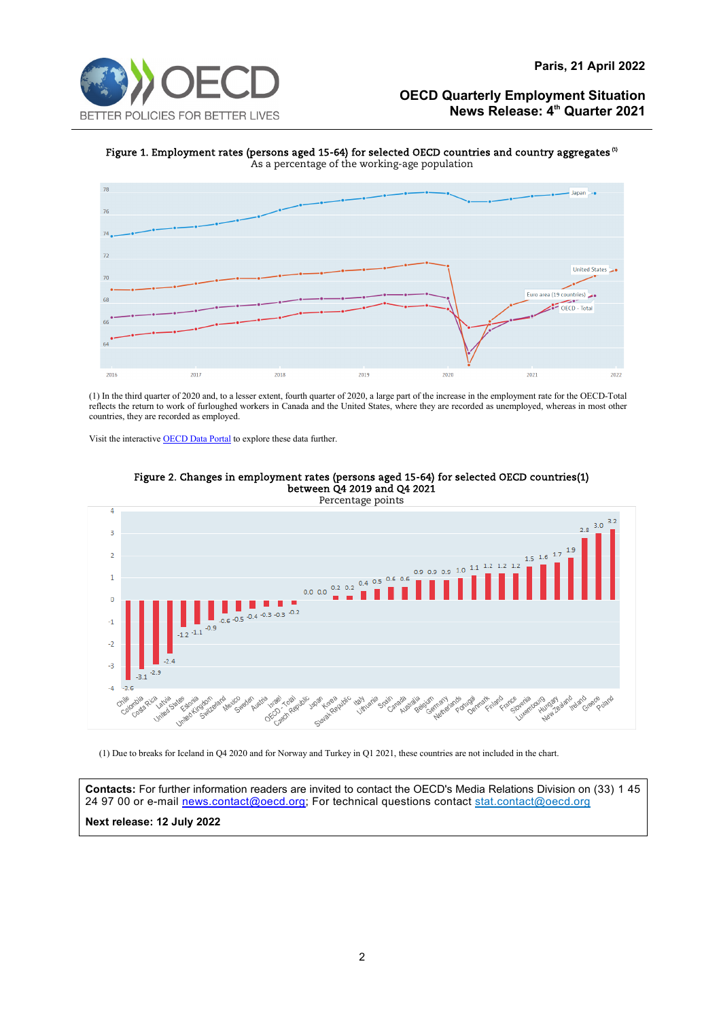#### **Paris, 21 April 2022**

## **OECD Quarterly Employment Situation News Release: 4th Quarter 2021**

Figure 1. Employment rates (persons aged 15-64) for selected OECD countries and country aggregates<sup>(1)</sup> As a percentage of the working-age population



(1) In the third quarter of 2020 and, to a lesser extent, fourth quarter of 2020, a large part of the increase in the employment rate for the OECD-Total reflects the return to work of furloughed workers in Canada and the United States, where they are recorded as unemployed, whereas in most other countries, they are recorded as employed.

Visit the interactiv[e OECD Data Portal](https://data.oecd.org/chart/6GyD) to explore these data further.



#### Figure 2. Changes in employment rates (persons aged 15-64) for selected OECD countries(1) between Q4 2019 and Q4 2021

(1) Due to breaks for Iceland in Q4 2020 and for Norway and Turkey in Q1 2021, these countries are not included in the chart.

**Contacts:** For further information readers are invited to contact the OECD's Media Relations Division on (33) 1 45 24 97 00 or e-mail [news.contact@oecd.org;](mailto:news.contact@oecd.org) For technical questions contact [stat.contact@oecd.org](mailto:stat.contact@oecd.org) **Next release: 12 July 2022**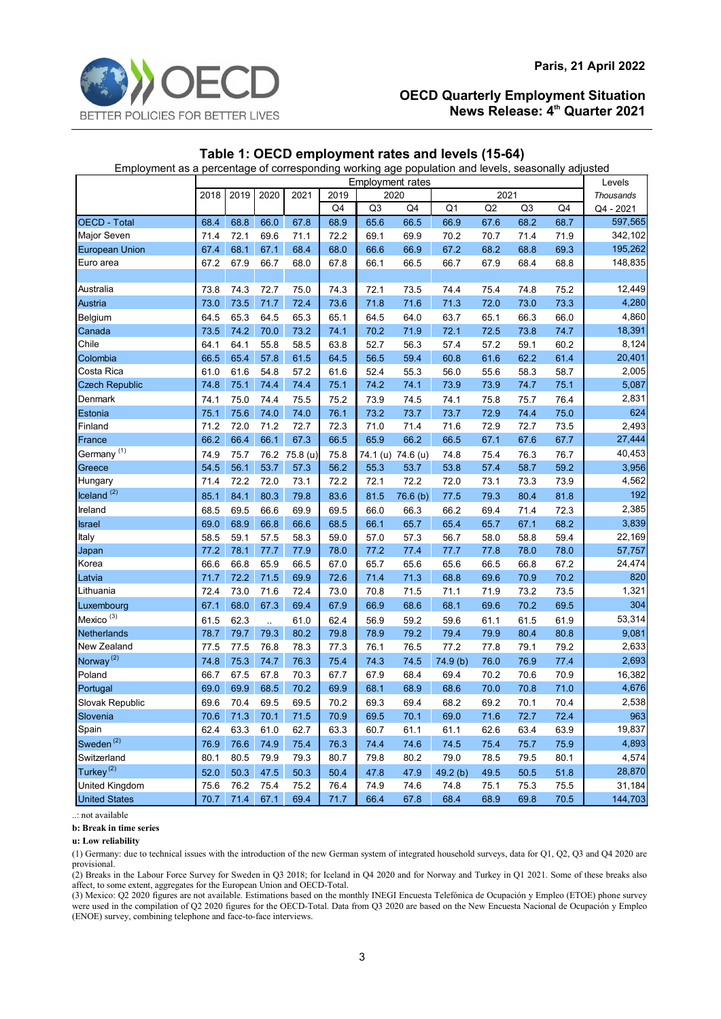

## **Table 1: OECD employment rates and levels (15-64)**

Employment as a percentage of corresponding working age population and levels, seasonally adjusted

|                        | <b>Employment rates</b> |      |      |          |              |                |                   |                |      |                |              | Levels           |
|------------------------|-------------------------|------|------|----------|--------------|----------------|-------------------|----------------|------|----------------|--------------|------------------|
|                        | 2018                    | 2019 | 2020 | 2021     | 2019         |                | 2020              |                |      | 2021           |              | <b>Thousands</b> |
|                        |                         |      |      |          | Q4           | Q <sub>3</sub> | Q4                | Q <sub>1</sub> | Q2   | Q <sub>3</sub> | Q4           | Q4 - 2021        |
| <b>OECD - Total</b>    | 68.4                    | 68.8 | 66.0 | 67.8     | 68.9         | 65.6           | 66.5              | 66.9           | 67.6 | 68.2           | 68.7         | 597,565          |
| Major Seven            | 71.4                    | 72.1 | 69.6 | 71.1     | 72.2         | 69.1           | 69.9              | 70.2           | 70.7 | 71.4           | 71.9         | 342,102          |
| <b>European Union</b>  | 67.4                    | 68.1 | 67.1 | 68.4     | 68.0         | 66.6           | 66.9              | 67.2           | 68.2 | 68.8           | 69.3         | 195,262          |
| Euro area              | 67.2                    | 67.9 | 66.7 | 68.0     | 67.8         | 66.1           | 66.5              | 66.7           | 67.9 | 68.4           | 68.8         | 148,835          |
|                        |                         |      |      |          |              |                |                   |                |      |                |              |                  |
| Australia              | 73.8                    | 74.3 | 72.7 | 75.0     | 74.3         | 72.1           | 73.5              | 74.4           | 75.4 | 74.8           | 75.2         | 12,449           |
| Austria                | 73.0                    | 73.5 | 71.7 | 72.4     | 73.6         | 71.8           | 71.6              | 71.3           | 72.0 | 73.0           | 73.3         | 4,280            |
| Belgium                | 64.5                    | 65.3 | 64.5 | 65.3     | 65.1         | 64.5           | 64.0              | 63.7           | 65.1 | 66.3           | 66.0         | 4,860            |
| Canada                 | 73.5                    | 74.2 | 70.0 | 73.2     | 74.1         | 70.2           | 71.9              | 72.1           | 72.5 | 73.8           | 74.7         | 18,391           |
| Chile                  | 64.1                    | 64.1 | 55.8 | 58.5     | 63.8         | 52.7           | 56.3              | 57.4           | 57.2 | 59.1           | 60.2         | 8,124            |
| Colombia               | 66.5                    | 65.4 | 57.8 | 61.5     | 64.5         | 56.5           | 59.4              | 60.8           | 61.6 | 62.2           | 61.4         | 20,401           |
| Costa Rica             | 61.0                    | 61.6 | 54.8 | 57.2     | 61.6         | 52.4           | 55.3              | 56.0           | 55.6 | 58.3           | 58.7         | 2,005            |
| <b>Czech Republic</b>  | 74.8                    | 75.1 | 74.4 | 74.4     | 75.1         | 74.2           | 74.1              | 73.9           | 73.9 | 74.7           | 75.1         | 5,087            |
| Denmark                | 74.1                    | 75.0 | 74.4 | 75.5     | 75.2         | 73.9           | 74.5              | 74.1           | 75.8 | 75.7           | 76.4         | 2,831            |
| Estonia                | 75.1                    | 75.6 | 74.0 | 74.0     | 76.1         | 73.2           | 73.7              | 73.7           | 72.9 | 74.4           | 75.0         | 624              |
| Finland                | 71.2                    | 72.0 | 71.2 | 72.7     | 72.3         | 71.0           | 71.4              | 71.6           | 72.9 | 72.7           | 73.5         | 2,493            |
| France                 | 66.2                    | 66.4 | 66.1 | 67.3     | 66.5         | 65.9           | 66.2              | 66.5           | 67.1 | 67.6           | 67.7         | 27,444           |
| Germany <sup>(1)</sup> | 74.9                    | 75.7 | 76.2 | 75.8 (u) | 75.8         |                | 74.1 (u) 74.6 (u) | 74.8           | 75.4 | 76.3           | 76.7         | 40,453           |
| Greece                 | 54.5                    | 56.1 | 53.7 | 57.3     | 56.2         | 55.3           | 53.7              | 53.8           | 57.4 | 58.7           | 59.2         | 3,956            |
| Hungary                | 71.4                    | 72.2 | 72.0 | 73.1     | 72.2         | 72.1           | 72.2              | 72.0           | 73.1 | 73.3           | 73.9         | 4,562            |
| $l$ celand $(2)$       | 85.1                    | 84.1 | 80.3 | 79.8     | 83.6         | 81.5           | 76.6(b)           | 77.5           | 79.3 | 80.4           | 81.8         | 192              |
| Ireland                | 68.5                    | 69.5 | 66.6 | 69.9     | 69.5         | 66.0           | 66.3              | 66.2           | 69.4 | 71.4           | 72.3         | 2,385            |
| <b>Israel</b>          | 69.0                    | 68.9 | 66.8 | 66.6     | 68.5         | 66.1           | 65.7              | 65.4           | 65.7 | 67.1           | 68.2         | 3,839            |
| Italy                  | 58.5                    | 59.1 | 57.5 | 58.3     | 59.0         | 57.0           | 57.3              | 56.7           | 58.0 | 58.8           | 59.4         | 22,169           |
| Japan                  | 77.2                    | 78.1 | 77.7 | 77.9     | 78.0         | 77.2           | 77.4              | 77.7           | 77.8 | 78.0           | 78.0         | 57,757           |
| Korea                  | 66.6                    | 66.8 | 65.9 | 66.5     | 67.0         | 65.7           | 65.6              | 65.6           | 66.5 | 66.8           | 67.2         | 24,474           |
| Latvia                 | 71.7                    | 72.2 | 71.5 | 69.9     | 72.6         | 71.4           | 71.3              | 68.8           | 69.6 | 70.9           | 70.2         | 820              |
| Lithuania              | 72.4                    | 73.0 | 71.6 | 72.4     | 73.0         | 70.8           | 71.5              | 71.1           | 71.9 | 73.2           | 73.5         | 1,321            |
| Luxembourg             | 67.1                    | 68.0 | 67.3 | 69.4     | 67.9         | 66.9           | 68.6              | 68.1           | 69.6 | 70.2           | 69.5         | 304              |
| Mexico <sup>(3)</sup>  | 61.5                    | 62.3 | ù.   | 61.0     | 62.4         | 56.9           | 59.2              | 59.6           | 61.1 | 61.5           | 61.9         | 53,314           |
| Netherlands            | 78.7                    | 79.7 | 79.3 | 80.2     | 79.8         | 78.9           | 79.2              | 79.4           | 79.9 | 80.4           | 80.8         | 9,081            |
| New Zealand            | 77.5                    | 77.5 | 76.8 | 78.3     | 77.3         | 76.1           | 76.5              | 77.2           | 77.8 | 79.1           | 79.2         | 2,633            |
| Norway <sup>(2)</sup>  | 74.8                    | 75.3 | 74.7 | 76.3     | 75.4         | 74.3           | 74.5              | 74.9 (b)       | 76.0 | 76.9           | 77.4         | 2,693            |
| Poland                 | 66.7                    | 67.5 | 67.8 | 70.3     | 67.7         | 67.9           | 68.4              | 69.4           | 70.2 | 70.6           | 70.9         | 16,382           |
| Portugal               | 69.0                    | 69.9 | 68.5 | 70.2     | 69.9         | 68.1           | 68.9              | 68.6           | 70.0 | 70.8           | 71.0         | 4,676            |
| Slovak Republic        | 69.6                    | 70.4 | 69.5 | 69.5     | 70.2         | 69.3           | 69.4              | 68.2           | 69.2 | 70.1           | 70.4         | 2,538            |
| Slovenia               | 70.6                    | 71.3 | 70.1 | 71.5     | 70.9         | 69.5           | 70.1              | 69.0           | 71.6 | 72.7           | 72.4         | 963              |
| Spain                  | 62.4                    | 63.3 | 61.0 | 62.7     | 63.3         | 60.7           | 61.1              | 61.1           | 62.6 | 63.4           | 63.9         | 19,837           |
| Sweden <sup>(2)</sup>  | 76.9                    | 76.6 | 74.9 | 75.4     |              |                |                   |                |      |                |              | 4,893            |
| Switzerland            | 80.1                    | 80.5 | 79.9 | 79.3     | 76.3<br>80.7 | 74.4           | 74.6              | 74.5<br>79.0   | 75.4 | 75.7           | 75.9<br>80.1 | 4,574            |
| Turkey <sup>(2)</sup>  |                         |      |      |          |              | 79.8           | 80.2              |                | 78.5 | 79.5           |              |                  |
|                        | 52.0                    | 50.3 | 47.5 | 50.3     | 50.4         | 47.8           | 47.9              | 49.2 (b)       | 49.5 | 50.5           | 51.8         | 28,870           |
| United Kingdom         | 75.6                    | 76.2 | 75.4 | 75.2     | 76.4         | 74.9           | 74.6              | 74.8           | 75.1 | 75.3           | 75.5         | 31,184           |
| <b>United States</b>   | 70.7                    | 71.4 | 67.1 | 69.4     | 71.7         | 66.4           | 67.8              | 68.4           | 68.9 | 69.8           | 70.5         | 144,703          |

..: not available

**b: Break in time series**

**u: Low reliability**

(1) Germany: due to technical issues with the introduction of the new German system of integrated household surveys, data for Q1, Q2, Q3 and Q4 2020 are provisional.

(2) Breaks in the Labour Force Survey for Sweden in Q3 2018; for Iceland in Q4 2020 and for Norway and Turkey in Q1 2021. Some of these breaks also affect, to some extent, aggregates for the European Union and OECD-Total.

(3) Mexico: Q2 2020 figures are not available. Estimations based on the monthly INEGI Encuesta Telefónica de Ocupación y Empleo (ETOE) phone survey were used in the compilation of Q2 2020 figures for the OECD-Total. Data from Q3 2020 are based on the New Encuesta Nacional de Ocupación y Empleo (ENOE) survey, combining telephone and face-to-face interviews.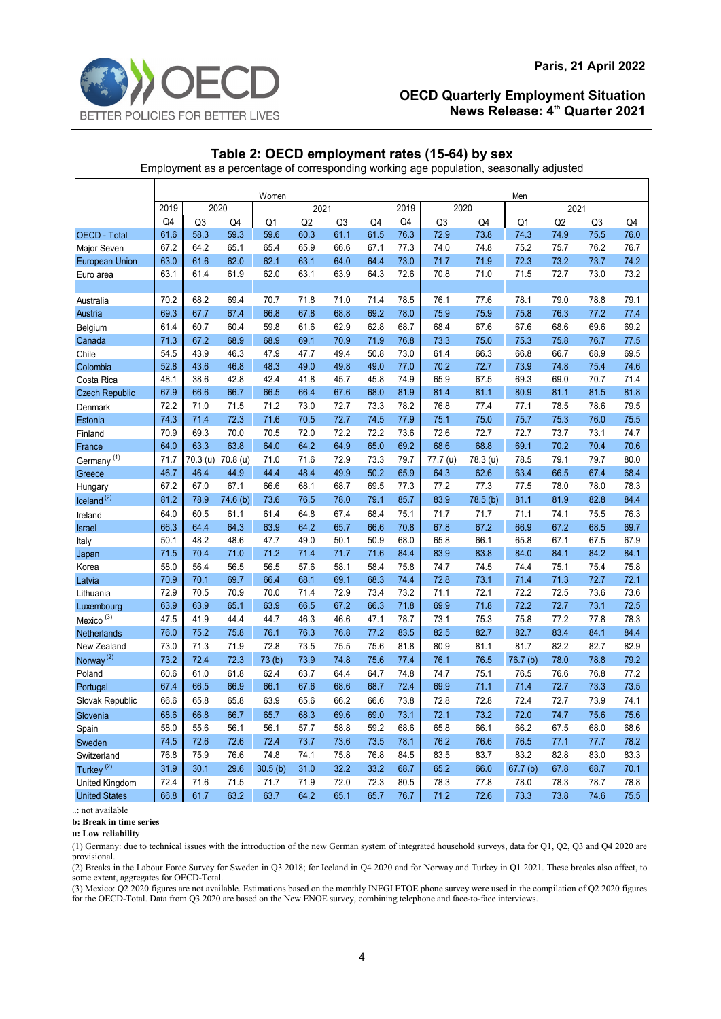# **Table 2: OECD employment rates (15-64) by sex**

Employment as a percentage of corresponding working age population, seasonally adjusted

|                                      | Women |      |                   |                |                |                |              |      | Men            |          |                     |      |                |      |  |
|--------------------------------------|-------|------|-------------------|----------------|----------------|----------------|--------------|------|----------------|----------|---------------------|------|----------------|------|--|
|                                      | 2019  | 2020 |                   |                | 2021           |                |              | 2019 |                | 2020     |                     | 2021 |                |      |  |
|                                      | Q4    | Q3   | Q4                | Q <sub>1</sub> | Q <sub>2</sub> | Q <sub>3</sub> | Q4           | Q4   | Q <sub>3</sub> | Q4       | Q1                  | Q2   | Q <sub>3</sub> | Q4   |  |
| <b>OECD - Total</b>                  | 61.6  | 58.3 | 59.3              | 59.6           | 60.3           | 61.1           | 61.5         | 76.3 | 72.9           | 73.8     | 74.3                | 74.9 | 75.5           | 76.0 |  |
| Major Seven                          | 67.2  | 64.2 | 65.1              | 65.4           | 65.9           | 66.6           | 67.1         | 77.3 | 74.0           | 74.8     | 75.2                | 75.7 | 76.2           | 76.7 |  |
| <b>European Union</b>                | 63.0  | 61.6 | 62.0              | 62.1           | 63.1           | 64.0           | 64.4         | 73.0 | 71.7           | 71.9     | 72.3                | 73.2 | 73.7           | 74.2 |  |
| Euro area                            | 63.1  | 61.4 | 61.9              | 62.0           | 63.1           | 63.9           | 64.3         | 72.6 | 70.8           | 71.0     | 71.5                | 72.7 | 73.0           | 73.2 |  |
|                                      |       |      |                   |                |                |                |              |      |                |          |                     |      |                |      |  |
| Australia                            | 70.2  | 68.2 | 69.4              | 70.7           | 71.8           | 71.0           | 71.4         | 78.5 | 76.1           | 77.6     | 78.1                | 79.0 | 78.8           | 79.1 |  |
| Austria                              | 69.3  | 67.7 | 67.4              | 66.8           | 67.8           | 68.8           | 69.2         | 78.0 | 75.9           | 75.9     | 75.8                | 76.3 | 77.2           | 77.4 |  |
| Belgium                              | 61.4  | 60.7 | 60.4              | 59.8           | 61.6           | 62.9           | 62.8         | 68.7 | 68.4           | 67.6     | 67.6                | 68.6 | 69.6           | 69.2 |  |
| Canada                               | 71.3  | 67.2 | 68.9              | 68.9           | 69.1           | 70.9           | 71.9         | 76.8 | 73.3           | 75.0     | 75.3                | 75.8 | 76.7           | 77.5 |  |
| Chile                                | 54.5  | 43.9 | 46.3              | 47.9           | 47.7           | 49.4           | 50.8         | 73.0 | 61.4           | 66.3     | 66.8                | 66.7 | 68.9           | 69.5 |  |
| Colombia                             | 52.8  | 43.6 | 46.8              | 48.3           | 49.0           | 49.8           | 49.0         | 77.0 | 70.2           | 72.7     | 73.9                | 74.8 | 75.4           | 74.6 |  |
| Costa Rica                           | 48.1  | 38.6 | 42.8              | 42.4           | 41.8           | 45.7           | 45.8         | 74.9 | 65.9           | 67.5     | 69.3                | 69.0 | 70.7           | 71.4 |  |
| <b>Czech Republic</b>                | 67.9  | 66.6 | 66.7              | 66.5           | 66.4           | 67.6           | 68.0         | 81.9 | 81.4           | 81.1     | 80.9                | 81.1 | 81.5           | 81.8 |  |
| Denmark                              | 72.2  | 71.0 | 71.5              | 71.2           | 73.0           | 72.7           | 73.3         | 78.2 | 76.8           | 77.4     | 77.1                | 78.5 | 78.6           | 79.5 |  |
| Estonia                              | 74.3  | 71.4 | 72.3              | 71.6           | 70.5           | 72.7           | 74.5         | 77.9 | 75.1           | 75.0     | 75.7                | 75.3 | 76.0           | 75.5 |  |
| Finland                              | 70.9  | 69.3 | 70.0              | 70.5           | 72.0           | 72.2           | 72.2         | 73.6 | 72.6           | 72.7     | 72.7                | 73.7 | 73.1           | 74.7 |  |
| France                               | 64.0  | 63.3 | 63.8              | 64.0           | 64.2           | 64.9           | 65.0         | 69.2 | 68.6           | 68.8     | 69.1                | 70.2 | 70.4           | 70.6 |  |
| Germany <sup>(1)</sup>               | 71.7  |      | 70.3 (u) 70.8 (u) | 71.0           | 71.6           | 72.9           | 73.3         | 79.7 | 77.7 (u)       | 78.3 (u) | 78.5                | 79.1 | 79.7           | 80.0 |  |
| Greece                               | 46.7  | 46.4 | 44.9              | 44.4           | 48.4           | 49.9           | 50.2         | 65.9 | 64.3           | 62.6     | 63.4                | 66.5 | 67.4           | 68.4 |  |
| Hungary                              | 67.2  | 67.0 | 67.1              | 66.6           | 68.1           | 68.7           | 69.5         | 77.3 | 77.2           | 77.3     | 77.5                | 78.0 | 78.0           | 78.3 |  |
| $l$ celand $(2)$                     | 81.2  | 78.9 | 74.6 (b)          | 73.6           | 76.5           | 78.0           | 79.1         | 85.7 | 83.9           | 78.5 (b) | 81.1                | 81.9 | 82.8           | 84.4 |  |
| Ireland                              | 64.0  | 60.5 | 61.1              | 61.4           | 64.8           | 67.4           | 68.4         | 75.1 | 71.7           | 71.7     | 71.1                | 74.1 | 75.5           | 76.3 |  |
| <b>Israel</b>                        | 66.3  | 64.4 | 64.3              | 63.9           | 64.2           | 65.7           | 66.6         | 70.8 | 67.8           | 67.2     | 66.9                | 67.2 | 68.5           | 69.7 |  |
| Italy                                | 50.1  | 48.2 | 48.6              | 47.7           | 49.0           | 50.1           | 50.9         | 68.0 | 65.8           | 66.1     | 65.8                | 67.1 | 67.5           | 67.9 |  |
| Japan                                | 71.5  | 70.4 | 71.0              | 71.2           | 71.4           | 71.7           | 71.6         | 84.4 | 83.9           | 83.8     | 84.0                | 84.1 | 84.2           | 84.1 |  |
| Korea                                | 58.0  | 56.4 | 56.5              | 56.5           | 57.6           | 58.1           | 58.4         | 75.8 | 74.7           | 74.5     | 74.4                | 75.1 | 75.4           | 75.8 |  |
| Latvia                               | 70.9  | 70.1 | 69.7              | 66.4           | 68.1           | 69.1           | 68.3         | 74.4 | 72.8           | 73.1     | 71.4                | 71.3 | 72.7           | 72.1 |  |
| Lithuania                            | 72.9  | 70.5 | 70.9              | 70.0           | 71.4           | 72.9           | 73.4         | 73.2 | 71.1           | 72.1     | 72.2                | 72.5 | 73.6           | 73.6 |  |
| Luxembourg                           | 63.9  | 63.9 | 65.1              | 63.9           | 66.5           | 67.2           | 66.3         | 71.8 | 69.9           | 71.8     | 72.2                | 72.7 | 73.1           | 72.5 |  |
| Mexico <sup>(3)</sup>                | 47.5  | 41.9 | 44.4              | 44.7           | 46.3           | 46.6           | 47.1         | 78.7 | 73.1           | 75.3     | 75.8                | 77.2 | 77.8           | 78.3 |  |
| Netherlands                          | 76.0  | 75.2 | 75.8              | 76.1           | 76.3           | 76.8           | 77.2         | 83.5 | 82.5           | 82.7     | 82.7                | 83.4 | 84.1           | 84.4 |  |
| New Zealand                          | 73.0  | 71.3 | 71.9              | 72.8           | 73.5           | 75.5           | 75.6         | 81.8 | 80.9           | 81.1     | 81.7                | 82.2 | 82.7           | 82.9 |  |
| Norway <sup>(2)</sup>                | 73.2  | 72.4 | 72.3              | 73(b)          | 73.9           | 74.8           | 75.6         | 77.4 | 76.1           | 76.5     | 76.7 <sub>(b)</sub> | 78.0 | 78.8           | 79.2 |  |
| Poland                               | 60.6  | 61.0 | 61.8              | 62.4           | 63.7           | 64.4           | 64.7         | 74.8 | 74.7           | 75.1     | 76.5                | 76.6 | 76.8           | 77.2 |  |
| Portugal                             | 67.4  | 66.5 | 66.9              | 66.1           | 67.6           | 68.6           | 68.7         | 72.4 | 69.9           | 71.1     | 71.4                | 72.7 | 73.3           | 73.5 |  |
| Slovak Republic                      | 66.6  | 65.8 | 65.8              | 63.9           | 65.6           | 66.2           | 66.6         | 73.8 | 72.8           | 72.8     | 72.4                | 72.7 | 73.9           | 74.1 |  |
| Slovenia                             | 68.6  | 66.8 | 66.7              | 65.7           | 68.3           | 69.6           | 69.0         | 73.1 | 72.1           | 73.2     | 72.0                | 74.7 | 75.6           | 75.6 |  |
| Spain                                | 58.0  | 55.6 | 56.1              | 56.1           | 57.7           | 58.8           | 59.2         | 68.6 | 65.8           | 66.1     | 66.2                | 67.5 | 68.0           | 68.6 |  |
|                                      | 74.5  | 72.6 | 72.6              | 72.4           | 73.7           | 73.6           | 73.5         | 78.1 | 76.2           | 76.6     | 76.5                | 77.1 | 77.7           | 78.2 |  |
| <b>Sweden</b>                        | 76.8  | 75.9 | 76.6              | 74.8           | 74.1           | 75.8           | 76.8         | 84.5 | 83.5           | 83.7     | 83.2                | 82.8 | 83.0           | 83.3 |  |
| Switzerland<br>Turkey <sup>(2)</sup> | 31.9  | 30.1 | 29.6              | 30.5(b)        | 31.0           | 32.2           | 33.2         | 68.7 | 65.2           | 66.0     | 67.7(b)             | 67.8 | 68.7           | 70.1 |  |
|                                      |       |      |                   | 71.7           |                |                |              | 80.5 | 78.3           |          |                     | 78.3 |                | 78.8 |  |
| <b>United Kingdom</b>                | 72.4  | 71.6 | 71.5              |                | 71.9<br>64.2   | 72.0           | 72.3<br>65.7 |      |                | 77.8     | 78.0                |      | 78.7           |      |  |
| <b>United States</b>                 | 66.8  | 61.7 | 63.2              | 63.7           |                | 65.1           |              | 76.7 | 71.2           | 72.6     | 73.3                | 73.8 | 74.6           | 75.5 |  |

..: not available

**b: Break in time series**

**u: Low reliability**

(1) Germany: due to technical issues with the introduction of the new German system of integrated household surveys, data for Q1, Q2, Q3 and Q4 2020 are provisional.

(2) Breaks in the Labour Force Survey for Sweden in Q3 2018; for Iceland in Q4 2020 and for Norway and Turkey in Q1 2021. These breaks also affect, to some extent, aggregates for OECD-Total.

(3) Mexico:  $Q\overline{2}$  2020 figures are not available. Estimations based on the monthly INEGI ETOE phone survey were used in the compilation of Q2 2020 figures for the OECD-Total. Data from Q3 2020 are based on the New ENOE survey, combining telephone and face-to-face interviews.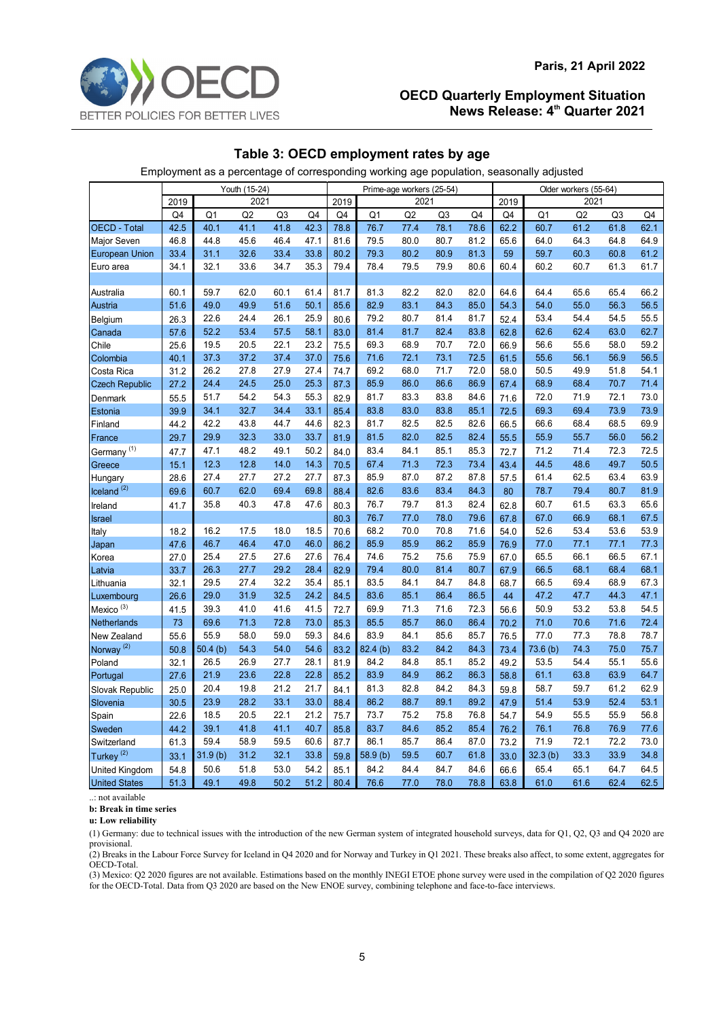## **Table 3: OECD employment rates by age**

Employment as a percentage of corresponding working age population, seasonally adjusted

|                        | Youth (15-24) |         |                |                |      | Prime-age workers (25-54) |          |      |                |      |      | Older workers (55-64) |      |                |      |  |
|------------------------|---------------|---------|----------------|----------------|------|---------------------------|----------|------|----------------|------|------|-----------------------|------|----------------|------|--|
|                        | 2021<br>2019  |         |                | 2021<br>2019   |      |                           |          |      | 2021<br>2019   |      |      |                       |      |                |      |  |
|                        | Q4            | Q1      | Q <sub>2</sub> | Q <sub>3</sub> | Q4   | Q4                        | Q1       | Q2   | Q <sub>3</sub> | Q4   | Q4   | Q <sub>1</sub>        | Q2   | Q <sub>3</sub> | Q4   |  |
| OECD - Total           | 42.5          | 40.1    | 41.1           | 41.8           | 42.3 | 78.8                      | 76.7     | 77.4 | 78.1           | 78.6 | 62.2 | 60.7                  | 61.2 | 61.8           | 62.1 |  |
| Major Seven            | 46.8          | 44.8    | 45.6           | 46.4           | 47.1 | 81.6                      | 79.5     | 80.0 | 80.7           | 81.2 | 65.6 | 64.0                  | 64.3 | 64.8           | 64.9 |  |
| <b>European Union</b>  | 33.4          | 31.1    | 32.6           | 33.4           | 33.8 | 80.2                      | 79.3     | 80.2 | 80.9           | 81.3 | 59   | 59.7                  | 60.3 | 60.8           | 61.2 |  |
| Euro area              | 34.1          | 32.1    | 33.6           | 34.7           | 35.3 | 79.4                      | 78.4     | 79.5 | 79.9           | 80.6 | 60.4 | 60.2                  | 60.7 | 61.3           | 61.7 |  |
|                        |               |         |                |                |      |                           |          |      |                |      |      |                       |      |                |      |  |
| Australia              | 60.1          | 59.7    | 62.0           | 60.1           | 61.4 | 81.7                      | 81.3     | 82.2 | 82.0           | 82.0 | 64.6 | 64.4                  | 65.6 | 65.4           | 66.2 |  |
| Austria                | 51.6          | 49.0    | 49.9           | 51.6           | 50.1 | 85.6                      | 82.9     | 83.1 | 84.3           | 85.0 | 54.3 | 54.0                  | 55.0 | 56.3           | 56.5 |  |
| Belgium                | 26.3          | 22.6    | 24.4           | 26.1           | 25.9 | 80.6                      | 79.2     | 80.7 | 81.4           | 81.7 | 52.4 | 53.4                  | 54.4 | 54.5           | 55.5 |  |
| Canada                 | 57.6          | 52.2    | 53.4           | 57.5           | 58.1 | 83.0                      | 81.4     | 81.7 | 82.4           | 83.8 | 62.8 | 62.6                  | 62.4 | 63.0           | 62.7 |  |
| Chile                  | 25.6          | 19.5    | 20.5           | 22.1           | 23.2 | 75.5                      | 69.3     | 68.9 | 70.7           | 72.0 | 66.9 | 56.6                  | 55.6 | 58.0           | 59.2 |  |
| Colombia               | 40.1          | 37.3    | 37.2           | 37.4           | 37.0 | 75.6                      | 71.6     | 72.1 | 73.1           | 72.5 | 61.5 | 55.6                  | 56.1 | 56.9           | 56.5 |  |
| Costa Rica             | 31.2          | 26.2    | 27.8           | 27.9           | 27.4 | 74.7                      | 69.2     | 68.0 | 71.7           | 72.0 | 58.0 | 50.5                  | 49.9 | 51.8           | 54.1 |  |
| <b>Czech Republic</b>  | 27.2          | 24.4    | 24.5           | 25.0           | 25.3 | 87.3                      | 85.9     | 86.0 | 86.6           | 86.9 | 67.4 | 68.9                  | 68.4 | 70.7           | 71.4 |  |
| Denmark                | 55.5          | 51.7    | 54.2           | 54.3           | 55.3 | 82.9                      | 81.7     | 83.3 | 83.8           | 84.6 | 71.6 | 72.0                  | 71.9 | 72.1           | 73.0 |  |
| Estonia                | 39.9          | 34.1    | 32.7           | 34.4           | 33.1 | 85.4                      | 83.8     | 83.0 | 83.8           | 85.1 | 72.5 | 69.3                  | 69.4 | 73.9           | 73.9 |  |
| Finland                | 44.2          | 42.2    | 43.8           | 44.7           | 44.6 | 82.3                      | 81.7     | 82.5 | 82.5           | 82.6 | 66.5 | 66.6                  | 68.4 | 68.5           | 69.9 |  |
| France                 | 29.7          | 29.9    | 32.3           | 33.0           | 33.7 | 81.9                      | 81.5     | 82.0 | 82.5           | 82.4 | 55.5 | 55.9                  | 55.7 | 56.0           | 56.2 |  |
| Germany <sup>(1)</sup> | 47.7          | 47.1    | 48.2           | 49.1           | 50.2 | 84.0                      | 83.4     | 84.1 | 85.1           | 85.3 | 72.7 | 71.2                  | 71.4 | 72.3           | 72.5 |  |
| Greece                 | 15.1          | 12.3    | 12.8           | 14.0           | 14.3 | 70.5                      | 67.4     | 71.3 | 72.3           | 73.4 | 43.4 | 44.5                  | 48.6 | 49.7           | 50.5 |  |
| Hungary                | 28.6          | 27.4    | 27.7           | 27.2           | 27.7 | 87.3                      | 85.9     | 87.0 | 87.2           | 87.8 | 57.5 | 61.4                  | 62.5 | 63.4           | 63.9 |  |
| $I$ celand $(2)$       | 69.6          | 60.7    | 62.0           | 69.4           | 69.8 | 88.4                      | 82.6     | 83.6 | 83.4           | 84.3 | 80   | 78.7                  | 79.4 | 80.7           | 81.9 |  |
| Ireland                | 41.7          | 35.8    | 40.3           | 47.8           | 47.6 | 80.3                      | 76.7     | 79.7 | 81.3           | 82.4 | 62.8 | 60.7                  | 61.5 | 63.3           | 65.6 |  |
| <b>Israel</b>          |               |         |                |                |      | 80.3                      | 76.7     | 77.0 | 78.0           | 79.6 | 67.8 | 67.0                  | 66.9 | 68.1           | 67.5 |  |
| Italy                  | 18.2          | 16.2    | 17.5           | 18.0           | 18.5 | 70.6                      | 68.2     | 70.0 | 70.8           | 71.6 | 54.0 | 52.6                  | 53.4 | 53.6           | 53.9 |  |
| Japan                  | 47.6          | 46.7    | 46.4           | 47.0           | 46.0 | 86.2                      | 85.9     | 85.9 | 86.2           | 85.9 | 76.9 | 77.0                  | 77.1 | 77.1           | 77.3 |  |
| Korea                  | 27.0          | 25.4    | 27.5           | 27.6           | 27.6 | 76.4                      | 74.6     | 75.2 | 75.6           | 75.9 | 67.0 | 65.5                  | 66.1 | 66.5           | 67.1 |  |
| Latvia                 | 33.7          | 26.3    | 27.7           | 29.2           | 28.4 | 82.9                      | 79.4     | 80.0 | 81.4           | 80.7 | 67.9 | 66.5                  | 68.1 | 68.4           | 68.1 |  |
| Lithuania              | 32.1          | 29.5    | 27.4           | 32.2           | 35.4 | 85.1                      | 83.5     | 84.1 | 84.7           | 84.8 | 68.7 | 66.5                  | 69.4 | 68.9           | 67.3 |  |
| Luxembourg             | 26.6          | 29.0    | 31.9           | 32.5           | 24.2 | 84.5                      | 83.6     | 85.1 | 86.4           | 86.5 | 44   | 47.2                  | 47.7 | 44.3           | 47.1 |  |
| Mexico <sup>(3)</sup>  | 41.5          | 39.3    | 41.0           | 41.6           | 41.5 | 72.7                      | 69.9     | 71.3 | 71.6           | 72.3 | 56.6 | 50.9                  | 53.2 | 53.8           | 54.5 |  |
| Netherlands            | 73            | 69.6    | 71.3           | 72.8           | 73.0 | 85.3                      | 85.5     | 85.7 | 86.0           | 86.4 | 70.2 | 71.0                  | 70.6 | 71.6           | 72.4 |  |
| New Zealand            | 55.6          | 55.9    | 58.0           | 59.0           | 59.3 | 84.6                      | 83.9     | 84.1 | 85.6           | 85.7 | 76.5 | 77.0                  | 77.3 | 78.8           | 78.7 |  |
| Norway <sup>(2)</sup>  | 50.8          | 50.4(b) | 54.3           | 54.0           | 54.6 | 83.2                      | 82.4 (b) | 83.2 | 84.2           | 84.3 | 73.4 | 73.6 (b)              | 74.3 | 75.0           | 75.7 |  |
| Poland                 | 32.1          | 26.5    | 26.9           | 27.7           | 28.1 | 81.9                      | 84.2     | 84.8 | 85.1           | 85.2 | 49.2 | 53.5                  | 54.4 | 55.1           | 55.6 |  |
| Portugal               | 27.6          | 21.9    | 23.6           | 22.8           | 22.8 | 85.2                      | 83.9     | 84.9 | 86.2           | 86.3 | 58.8 | 61.1                  | 63.8 | 63.9           | 64.7 |  |
| Slovak Republic        | 25.0          | 20.4    | 19.8           | 21.2           | 21.7 | 84.1                      | 81.3     | 82.8 | 84.2           | 84.3 | 59.8 | 58.7                  | 59.7 | 61.2           | 62.9 |  |
| Slovenia               | 30.5          | 23.9    | 28.2           | 33.1           | 33.0 | 88.4                      | 86.2     | 88.7 | 89.1           | 89.2 | 47.9 | 51.4                  | 53.9 | 52.4           | 53.1 |  |
| Spain                  | 22.6          | 18.5    | 20.5           | 22.1           | 21.2 | 75.7                      | 73.7     | 75.2 | 75.8           | 76.8 | 54.7 | 54.9                  | 55.5 | 55.9           | 56.8 |  |
| Sweden                 | 44.2          | 39.1    | 41.8           | 41.1           | 40.7 | 85.8                      | 83.7     | 84.6 | 85.2           | 85.4 | 76.2 | 76.1                  | 76.8 | 76.9           | 77.6 |  |
| Switzerland            | 61.3          | 59.4    | 58.9           | 59.5           | 60.6 | 87.7                      | 86.1     | 85.7 | 86.4           | 87.0 | 73.2 | 71.9                  | 72.1 | 72.2           | 73.0 |  |
| Turkey <sup>(2)</sup>  | 33.1          | 31.9(b) | 31.2           | 32.1           | 33.8 | 59.8                      | 58.9(b)  | 59.5 | 60.7           | 61.8 | 33.0 | 32.3(b)               | 33.3 | 33.9           | 34.8 |  |
| United Kingdom         | 54.8          | 50.6    | 51.8           | 53.0           | 54.2 | 85.1                      | 84.2     | 84.4 | 84.7           | 84.6 | 66.6 | 65.4                  | 65.1 | 64.7           | 64.5 |  |
| <b>United States</b>   | 51.3          | 49.1    | 49.8           | 50.2           | 51.2 | 80.4                      | 76.6     | 77.0 | 78.0           | 78.8 | 63.8 | 61.0                  | 61.6 | 62.4           | 62.5 |  |

..: not available

**b: Break in time series**

**u: Low reliability**

(1) Germany: due to technical issues with the introduction of the new German system of integrated household surveys, data for Q1, Q2, Q3 and Q4 2020 are provisional.

(2) Breaks in the Labour Force Survey for Iceland in Q4 2020 and for Norway and Turkey in Q1 2021. These breaks also affect, to some extent, aggregates for OECD-Total.

(3) Mexico: Q2 2020 figures are not available. Estimations based on the monthly INEGI ETOE phone survey were used in the compilation of Q2 2020 figures for the OECD-Total. Data from Q3 2020 are based on the New ENOE survey, combining telephone and face-to-face interviews.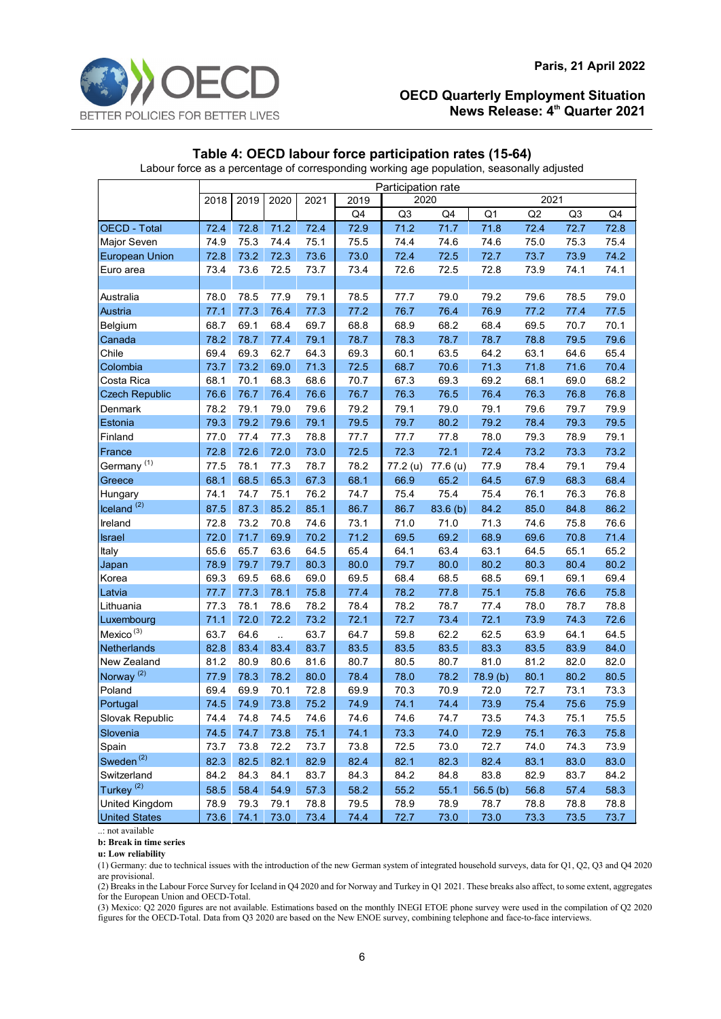

# **Table 4: OECD labour force participation rates (15-64)**

Labour force as a percentage of corresponding working age population, seasonally adjusted

|                        | Participation rate           |      |      |      |      |          |          |          |      |                |      |  |  |
|------------------------|------------------------------|------|------|------|------|----------|----------|----------|------|----------------|------|--|--|
|                        | 2018<br>2019<br>2020<br>2021 |      |      |      | 2019 | 2020     |          | 2021     |      |                |      |  |  |
|                        |                              |      |      |      | Q4   | Q3       | Q4       | Q1       | Q2   | Q <sub>3</sub> | Q4   |  |  |
| OECD - Total           | 72.4                         | 72.8 | 71.2 | 72.4 | 72.9 | 71.2     | 71.7     | 71.8     | 72.4 | 72.7           | 72.8 |  |  |
| <b>Major Seven</b>     | 74.9                         | 75.3 | 74.4 | 75.1 | 75.5 | 74.4     | 74.6     | 74.6     | 75.0 | 75.3           | 75.4 |  |  |
| <b>European Union</b>  | 72.8                         | 73.2 | 72.3 | 73.6 | 73.0 | 72.4     | 72.5     | 72.7     | 73.7 | 73.9           | 74.2 |  |  |
| Euro area              | 73.4                         | 73.6 | 72.5 | 73.7 | 73.4 | 72.6     | 72.5     | 72.8     | 73.9 | 74.1           | 74.1 |  |  |
|                        |                              |      |      |      |      |          |          |          |      |                |      |  |  |
| Australia              | 78.0                         | 78.5 | 77.9 | 79.1 | 78.5 | 77.7     | 79.0     | 79.2     | 79.6 | 78.5           | 79.0 |  |  |
| Austria                | 77.1                         | 77.3 | 76.4 | 77.3 | 77.2 | 76.7     | 76.4     | 76.9     | 77.2 | 77.4           | 77.5 |  |  |
| Belgium                | 68.7                         | 69.1 | 68.4 | 69.7 | 68.8 | 68.9     | 68.2     | 68.4     | 69.5 | 70.7           | 70.1 |  |  |
| Canada                 | 78.2                         | 78.7 | 77.4 | 79.1 | 78.7 | 78.3     | 78.7     | 78.7     | 78.8 | 79.5           | 79.6 |  |  |
| Chile                  | 69.4                         | 69.3 | 62.7 | 64.3 | 69.3 | 60.1     | 63.5     | 64.2     | 63.1 | 64.6           | 65.4 |  |  |
| Colombia               | 73.7                         | 73.2 | 69.0 | 71.3 | 72.5 | 68.7     | 70.6     | 71.3     | 71.8 | 71.6           | 70.4 |  |  |
| Costa Rica             | 68.1                         | 70.1 | 68.3 | 68.6 | 70.7 | 67.3     | 69.3     | 69.2     | 68.1 | 69.0           | 68.2 |  |  |
| <b>Czech Republic</b>  | 76.6                         | 76.7 | 76.4 | 76.6 | 76.7 | 76.3     | 76.5     | 76.4     | 76.3 | 76.8           | 76.8 |  |  |
| Denmark                | 78.2                         | 79.1 | 79.0 | 79.6 | 79.2 | 79.1     | 79.0     | 79.1     | 79.6 | 79.7           | 79.9 |  |  |
| Estonia                | 79.3                         | 79.2 | 79.6 | 79.1 | 79.5 | 79.7     | 80.2     | 79.2     | 78.4 | 79.3           | 79.5 |  |  |
| Finland                | 77.0                         | 77.4 | 77.3 | 78.8 | 77.7 | 77.7     | 77.8     | 78.0     | 79.3 | 78.9           | 79.1 |  |  |
| France                 | 72.8                         | 72.6 | 72.0 | 73.0 | 72.5 | 72.3     | 72.1     | 72.4     | 73.2 | 73.3           | 73.2 |  |  |
| Germany <sup>(1)</sup> | 77.5                         | 78.1 | 77.3 | 78.7 | 78.2 | 77.2 (u) | 77.6 (u) | 77.9     | 78.4 | 79.1           | 79.4 |  |  |
| Greece                 | 68.1                         | 68.5 | 65.3 | 67.3 | 68.1 | 66.9     | 65.2     | 64.5     | 67.9 | 68.3           | 68.4 |  |  |
| Hungary                | 74.1                         | 74.7 | 75.1 | 76.2 | 74.7 | 75.4     | 75.4     | 75.4     | 76.1 | 76.3           | 76.8 |  |  |
| $l$ celand $(2)$       | 87.5                         | 87.3 | 85.2 | 85.1 | 86.7 | 86.7     | 83.6 (b) | 84.2     | 85.0 | 84.8           | 86.2 |  |  |
| Ireland                | 72.8                         | 73.2 | 70.8 | 74.6 | 73.1 | 71.0     | 71.0     | 71.3     | 74.6 | 75.8           | 76.6 |  |  |
| Israel                 | 72.0                         | 71.7 | 69.9 | 70.2 | 71.2 | 69.5     | 69.2     | 68.9     | 69.6 | 70.8           | 71.4 |  |  |
| Italy                  | 65.6                         | 65.7 | 63.6 | 64.5 | 65.4 | 64.1     | 63.4     | 63.1     | 64.5 | 65.1           | 65.2 |  |  |
| Japan                  | 78.9                         | 79.7 | 79.7 | 80.3 | 80.0 | 79.7     | 80.0     | 80.2     | 80.3 | 80.4           | 80.2 |  |  |
| Korea                  | 69.3                         | 69.5 | 68.6 | 69.0 | 69.5 | 68.4     | 68.5     | 68.5     | 69.1 | 69.1           | 69.4 |  |  |
| Latvia                 | 77.7                         | 77.3 | 78.1 | 75.8 | 77.4 | 78.2     | 77.8     | 75.1     | 75.8 | 76.6           | 75.8 |  |  |
| Lithuania              | 77.3                         | 78.1 | 78.6 | 78.2 | 78.4 | 78.2     | 78.7     | 77.4     | 78.0 | 78.7           | 78.8 |  |  |
| Luxembourg             | 71.1                         | 72.0 | 72.2 | 73.2 | 72.1 | 72.7     | 73.4     | 72.1     | 73.9 | 74.3           | 72.6 |  |  |
| Mexico <sup>(3)</sup>  | 63.7                         | 64.6 | ù.   | 63.7 | 64.7 | 59.8     | 62.2     | 62.5     | 63.9 | 64.1           | 64.5 |  |  |
| Netherlands            | 82.8                         | 83.4 | 83.4 | 83.7 | 83.5 | 83.5     | 83.5     | 83.3     | 83.5 | 83.9           | 84.0 |  |  |
| New Zealand            | 81.2                         | 80.9 | 80.6 | 81.6 | 80.7 | 80.5     | 80.7     | 81.0     | 81.2 | 82.0           | 82.0 |  |  |
| Norway <sup>(2)</sup>  | 77.9                         | 78.3 | 78.2 | 80.0 | 78.4 | 78.0     | 78.2     | 78.9 (b) | 80.1 | 80.2           | 80.5 |  |  |
| Poland                 | 69.4                         | 69.9 | 70.1 | 72.8 | 69.9 | 70.3     | 70.9     | 72.0     | 72.7 | 73.1           | 73.3 |  |  |
| Portugal               | 74.5                         | 74.9 | 73.8 | 75.2 | 74.9 | 74.1     | 74.4     | 73.9     | 75.4 | 75.6           | 75.9 |  |  |
| Slovak Republic        | 74.4                         | 74.8 | 74.5 | 74.6 | 74.6 | 74.6     | 74.7     | 73.5     | 74.3 | 75.1           | 75.5 |  |  |
| Slovenia               | 74.5                         | 74.7 | 73.8 | 75.1 | 74.1 | 73.3     | 74.0     | 72.9     | 75.1 | 76.3           | 75.8 |  |  |
| Spain                  | 73.7                         | 73.8 | 72.2 | 73.7 | 73.8 | 72.5     | 73.0     | 72.7     | 74.0 | 74.3           | 73.9 |  |  |
| Sweden <sup>(2)</sup>  | 82.3                         | 82.5 | 82.1 | 82.9 | 82.4 | 82.1     | 82.3     | 82.4     | 83.1 | 83.0           | 83.0 |  |  |
| Switzerland            | 84.2                         | 84.3 | 84.1 | 83.7 | 84.3 | 84.2     | 84.8     | 83.8     | 82.9 | 83.7           | 84.2 |  |  |
| Turkey <sup>(2)</sup>  | 58.5                         | 58.4 | 54.9 | 57.3 | 58.2 | 55.2     | 55.1     | 56.5(b)  | 56.8 | 57.4           | 58.3 |  |  |
| <b>United Kingdom</b>  | 78.9                         | 79.3 | 79.1 | 78.8 | 79.5 | 78.9     | 78.9     | 78.7     | 78.8 | 78.8           | 78.8 |  |  |
| <b>United States</b>   | 73.6                         | 74.1 | 73.0 | 73.4 | 74.4 | 72.7     | 73.0     | 73.0     | 73.3 | 73.5           | 73.7 |  |  |

..: not available

**b: Break in time series**

**u: Low reliability**

(1) Germany: due to technical issues with the introduction of the new German system of integrated household surveys, data for Q1, Q2, Q3 and Q4 2020 are provisional.

(2) Breaks in the Labour Force Survey for Iceland in Q4 2020 and for Norway and Turkey in Q1 2021. These breaks also affect, to some extent, aggregates for the European Union and OECD-Total.

(3) Mexico: Q2 2020 figures are not available. Estimations based on the monthly INEGI ETOE phone survey were used in the compilation of Q2 2020 figures for the OECD-Total. Data from Q3 2020 are based on the New ENOE survey, combining telephone and face-to-face interviews.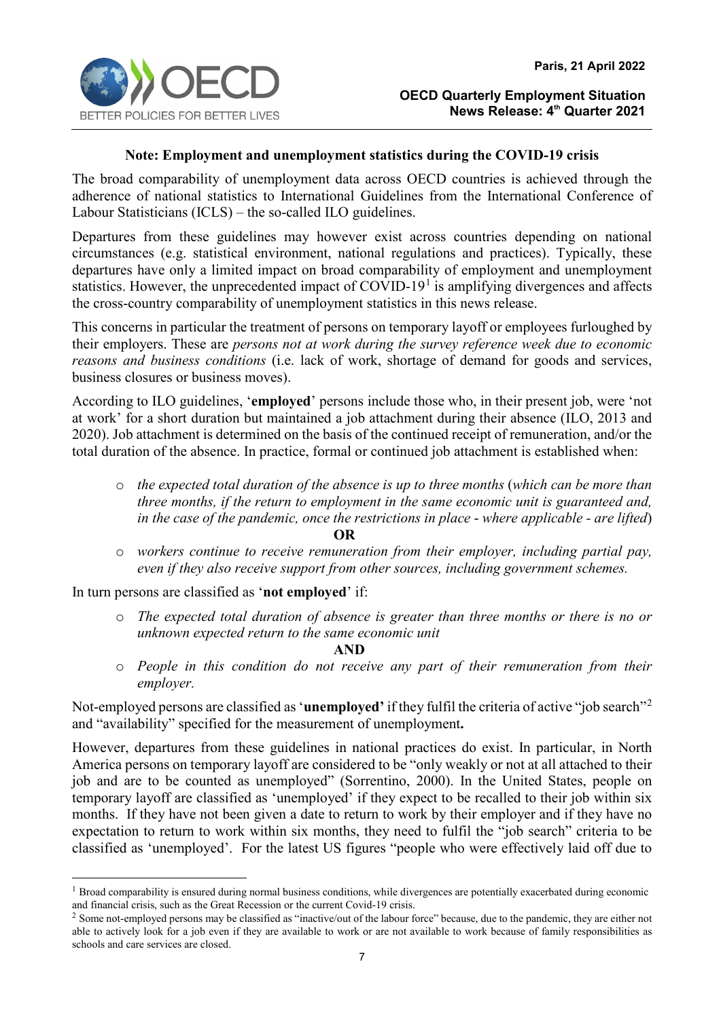

## **Note: Employment and unemployment statistics during the COVID-19 crisis**

The broad comparability of unemployment data across OECD countries is achieved through the adherence of national statistics to International Guidelines from the International Conference of Labour Statisticians (ICLS) – the so-called ILO guidelines.

Departures from these guidelines may however exist across countries depending on national circumstances (e.g. statistical environment, national regulations and practices). Typically, these departures have only a limited impact on broad comparability of employment and unemployment statistics. However, the unprecedented impact of COVID-[1](#page-6-0)9<sup>1</sup> is amplifying divergences and affects the cross-country comparability of unemployment statistics in this news release.

This concerns in particular the treatment of persons on temporary layoff or employees furloughed by their employers. These are *persons not at work during the survey reference week due to economic reasons and business conditions* (i.e. lack of work, shortage of demand for goods and services, business closures or business moves).

According to ILO guidelines, '**employed**' persons include those who, in their present job, were 'not at work' for a short duration but maintained a job attachment during their absence (ILO, 2013 and 2020). Job attachment is determined on the basis of the continued receipt of remuneration, and/or the total duration of the absence. In practice, formal or continued job attachment is established when:

- o *the expected total duration of the absence is up to three months* (*which can be more than three months, if the return to employment in the same economic unit is guaranteed and, in the case of the pandemic, once the restrictions in place* - *where applicable - are lifted*) **OR**
- o *workers continue to receive remuneration from their employer, including partial pay, even if they also receive support from other sources, including government schemes.*

In turn persons are classified as '**not employed**' if:

o *The expected total duration of absence is greater than three months or there is no or unknown expected return to the same economic unit* 

**AND** 

o *People in this condition do not receive any part of their remuneration from their employer.*

Not-employed persons are classified as '**unemployed'** if they fulfil the criteria of active "job search"[2](#page-6-1) and "availability" specified for the measurement of unemployment**.**

However, departures from these guidelines in national practices do exist. In particular, in North America persons on temporary layoff are considered to be "only weakly or not at all attached to their job and are to be counted as unemployed" (Sorrentino, 2000). In the United States, people on temporary layoff are classified as 'unemployed' if they expect to be recalled to their job within six months. If they have not been given a date to return to work by their employer and if they have no expectation to return to work within six months, they need to fulfil the "job search" criteria to be classified as 'unemployed'. For the latest US figures "people who were effectively laid off due to

<span id="page-6-0"></span><sup>&</sup>lt;sup>1</sup> Broad comparability is ensured during normal business conditions, while divergences are potentially exacerbated during economic and financial crisis, such as the Great Recession or the current Covid-19 crisis.

<span id="page-6-1"></span><sup>&</sup>lt;sup>2</sup> Some not-employed persons may be classified as "inactive/out of the labour force" because, due to the pandemic, they are either not able to actively look for a job even if they are available to work or are not available to work because of family responsibilities as schools and care services are closed.